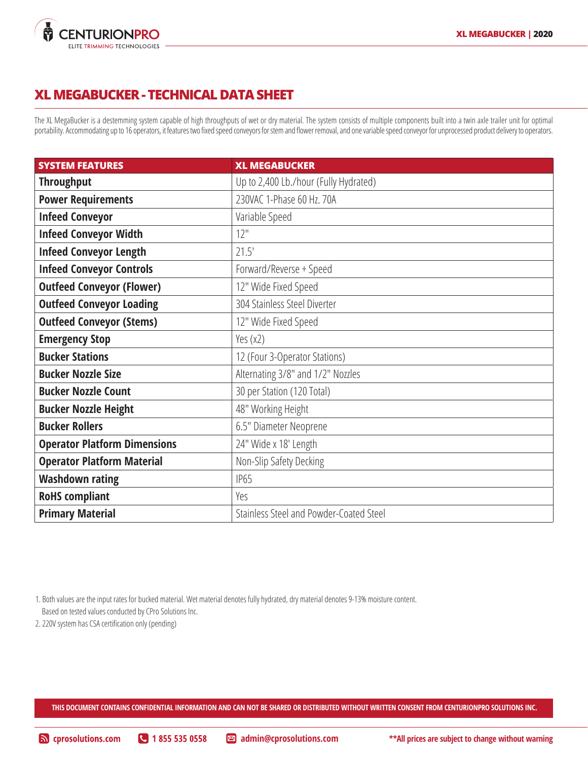

## **XL MEGABUCKER - TECHNICAL DATA SHEET**

The XL MegaBucker is a destemming system capable of high throughputs of wet or dry material. The system consists of multiple components built into a twin axle trailer unit for optimal portability. Accommodating up to 16 operators, it features two fixed speed conveyors for stem and flower removal, and one variable speed conveyor for unprocessed product delivery to operators.

| <b>SYSTEM FEATURES</b>              | <b>XL MEGABUCKER</b>                    |
|-------------------------------------|-----------------------------------------|
| <b>Throughput</b>                   | Up to 2,400 Lb./hour (Fully Hydrated)   |
| <b>Power Requirements</b>           | 230VAC 1-Phase 60 Hz. 70A               |
| <b>Infeed Conveyor</b>              | Variable Speed                          |
| <b>Infeed Conveyor Width</b>        | 12"                                     |
| <b>Infeed Conveyor Length</b>       | 21.5'                                   |
| <b>Infeed Conveyor Controls</b>     | Forward/Reverse + Speed                 |
| <b>Outfeed Conveyor (Flower)</b>    | 12" Wide Fixed Speed                    |
| <b>Outfeed Conveyor Loading</b>     | 304 Stainless Steel Diverter            |
| <b>Outfeed Conveyor (Stems)</b>     | 12" Wide Fixed Speed                    |
| <b>Emergency Stop</b>               | Yes (x2)                                |
| <b>Bucker Stations</b>              | 12 (Four 3-Operator Stations)           |
| <b>Bucker Nozzle Size</b>           | Alternating 3/8" and 1/2" Nozzles       |
| <b>Bucker Nozzle Count</b>          | 30 per Station (120 Total)              |
| <b>Bucker Nozzle Height</b>         | 48" Working Height                      |
| <b>Bucker Rollers</b>               | 6.5" Diameter Neoprene                  |
| <b>Operator Platform Dimensions</b> | 24" Wide x 18' Length                   |
| <b>Operator Platform Material</b>   | Non-Slip Safety Decking                 |
| <b>Washdown rating</b>              | <b>IP65</b>                             |
| <b>RoHS</b> compliant               | Yes                                     |
| <b>Primary Material</b>             | Stainless Steel and Powder-Coated Steel |

1. Both values are the input rates for bucked material. Wet material denotes fully hydrated, dry material denotes 9-13% moisture content. Based on tested values conducted by CPro Solutions Inc.

2. 220V system has CSA certification only (pending)

**THIS DOCUMENT CONTAINS CONFIDENTIAL INFORMATION AND CAN NOT BE SHARED OR DISTRIBUTED WITHOUT WRITTEN CONSENT FROM CENTURIONPRO SOLUTIONS INC.**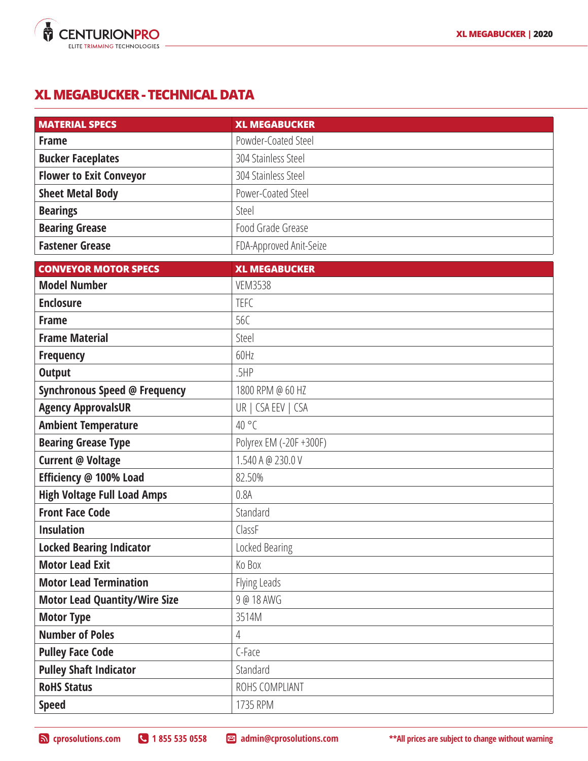

## **XL MEGABUCKER - TECHNICAL DATA**

| <b>MATERIAL SPECS</b>                | <b>XL MEGABUCKER</b>    |
|--------------------------------------|-------------------------|
| <b>Frame</b>                         | Powder-Coated Steel     |
| <b>Bucker Faceplates</b>             | 304 Stainless Steel     |
| <b>Flower to Exit Conveyor</b>       | 304 Stainless Steel     |
| <b>Sheet Metal Body</b>              | Power-Coated Steel      |
| <b>Bearings</b>                      | Steel                   |
| <b>Bearing Grease</b>                | Food Grade Grease       |
| <b>Fastener Grease</b>               | FDA-Approved Anit-Seize |
| <b>CONVEYOR MOTOR SPECS</b>          | <b>XL MEGABUCKER</b>    |
| <b>Model Number</b>                  | <b>VEM3538</b>          |
| <b>Enclosure</b>                     | <b>TEFC</b>             |
| <b>Frame</b>                         | 56C                     |
| <b>Frame Material</b>                | Steel                   |
| <b>Frequency</b>                     | 60Hz                    |
| <b>Output</b>                        | .5HP                    |
| <b>Synchronous Speed @ Frequency</b> | 1800 RPM @ 60 HZ        |
| <b>Agency ApprovalsUR</b>            | UR   CSA EEV   CSA      |
| <b>Ambient Temperature</b>           | $40^{\circ}$ C          |
| <b>Bearing Grease Type</b>           | Polyrex EM (-20F +300F) |
| <b>Current @ Voltage</b>             | 1.540 A @ 230.0 V       |
| Efficiency @ 100% Load               | 82.50%                  |
| <b>High Voltage Full Load Amps</b>   | 0.8A                    |
| <b>Front Face Code</b>               | Standard                |
| <b>Insulation</b>                    | ClassF                  |
| <b>Locked Bearing Indicator</b>      | Locked Bearing          |
| <b>Motor Lead Exit</b>               | Ko Box                  |
| <b>Motor Lead Termination</b>        | Flying Leads            |
| <b>Motor Lead Quantity/Wire Size</b> | 9 @ 18 AWG              |
| <b>Motor Type</b>                    | 3514M                   |
| <b>Number of Poles</b>               | 4                       |
| <b>Pulley Face Code</b>              | C-Face                  |
| <b>Pulley Shaft Indicator</b>        | Standard                |
| <b>RoHS Status</b>                   | ROHS COMPLIANT          |
| <b>Speed</b>                         | 1735 RPM                |